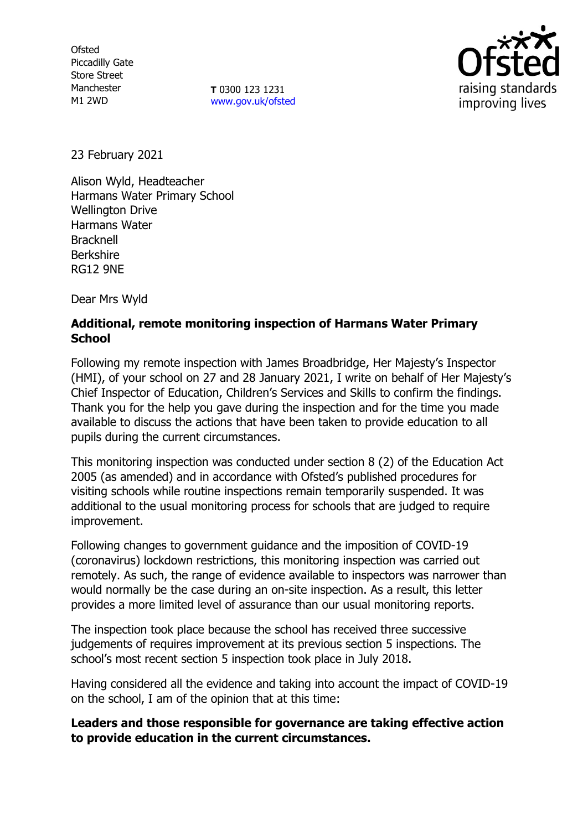**Ofsted** Piccadilly Gate Store Street Manchester M1 2WD

**T** 0300 123 1231 [www.gov.uk/ofsted](http://www.gov.uk/ofsted)



23 February 2021

Alison Wyld, Headteacher Harmans Water Primary School Wellington Drive Harmans Water **Bracknell** Berkshire RG12 9NE

Dear Mrs Wyld

## **Additional, remote monitoring inspection of Harmans Water Primary School**

Following my remote inspection with James Broadbridge, Her Majesty's Inspector (HMI), of your school on 27 and 28 January 2021, I write on behalf of Her Majesty's Chief Inspector of Education, Children's Services and Skills to confirm the findings. Thank you for the help you gave during the inspection and for the time you made available to discuss the actions that have been taken to provide education to all pupils during the current circumstances.

This monitoring inspection was conducted under section 8 (2) of the Education Act 2005 (as amended) and in accordance with Ofsted's published procedures for visiting schools while routine inspections remain temporarily suspended. It was additional to the usual monitoring process for schools that are judged to require improvement.

Following changes to government guidance and the imposition of COVID-19 (coronavirus) lockdown restrictions, this monitoring inspection was carried out remotely. As such, the range of evidence available to inspectors was narrower than would normally be the case during an on-site inspection. As a result, this letter provides a more limited level of assurance than our usual monitoring reports.

The inspection took place because the school has received three successive judgements of requires improvement at its previous section 5 inspections. The school's most recent section 5 inspection took place in July 2018.

Having considered all the evidence and taking into account the impact of COVID-19 on the school, I am of the opinion that at this time:

**Leaders and those responsible for governance are taking effective action to provide education in the current circumstances.**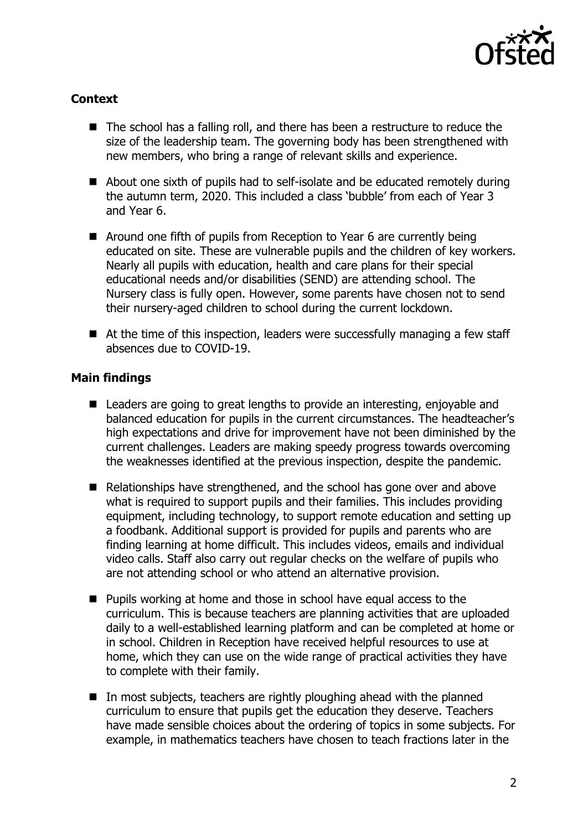

## **Context**

- The school has a falling roll, and there has been a restructure to reduce the size of the leadership team. The governing body has been strengthened with new members, who bring a range of relevant skills and experience.
- About one sixth of pupils had to self-isolate and be educated remotely during the autumn term, 2020. This included a class 'bubble' from each of Year 3 and Year 6.
- Around one fifth of pupils from Reception to Year 6 are currently being educated on site. These are vulnerable pupils and the children of key workers. Nearly all pupils with education, health and care plans for their special educational needs and/or disabilities (SEND) are attending school. The Nursery class is fully open. However, some parents have chosen not to send their nursery-aged children to school during the current lockdown.
- At the time of this inspection, leaders were successfully managing a few staff absences due to COVID-19.

## **Main findings**

- Leaders are going to great lengths to provide an interesting, enjoyable and balanced education for pupils in the current circumstances. The headteacher's high expectations and drive for improvement have not been diminished by the current challenges. Leaders are making speedy progress towards overcoming the weaknesses identified at the previous inspection, despite the pandemic.
- Relationships have strengthened, and the school has gone over and above what is required to support pupils and their families. This includes providing equipment, including technology, to support remote education and setting up a foodbank. Additional support is provided for pupils and parents who are finding learning at home difficult. This includes videos, emails and individual video calls. Staff also carry out regular checks on the welfare of pupils who are not attending school or who attend an alternative provision.
- Pupils working at home and those in school have equal access to the curriculum. This is because teachers are planning activities that are uploaded daily to a well-established learning platform and can be completed at home or in school. Children in Reception have received helpful resources to use at home, which they can use on the wide range of practical activities they have to complete with their family.
- $\blacksquare$  In most subjects, teachers are rightly ploughing ahead with the planned curriculum to ensure that pupils get the education they deserve. Teachers have made sensible choices about the ordering of topics in some subjects. For example, in mathematics teachers have chosen to teach fractions later in the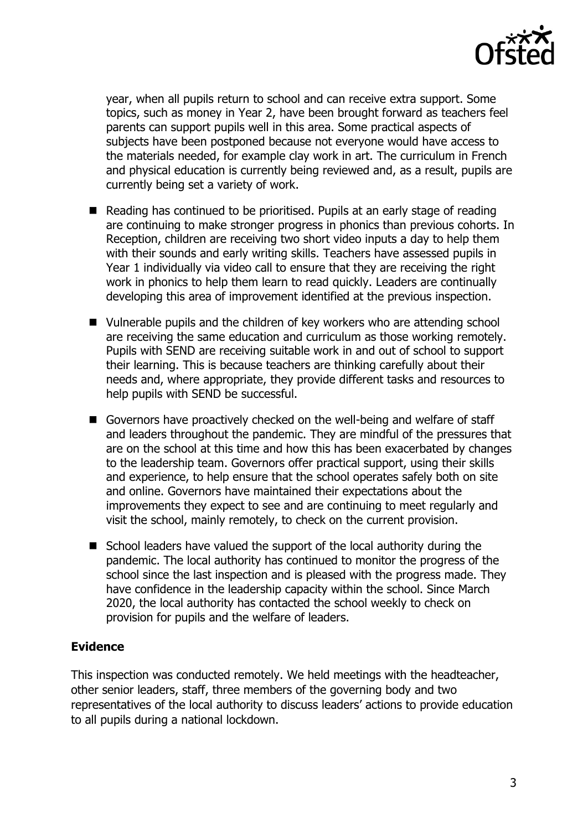

year, when all pupils return to school and can receive extra support. Some topics, such as money in Year 2, have been brought forward as teachers feel parents can support pupils well in this area. Some practical aspects of subjects have been postponed because not everyone would have access to the materials needed, for example clay work in art. The curriculum in French and physical education is currently being reviewed and, as a result, pupils are currently being set a variety of work.

- Reading has continued to be prioritised. Pupils at an early stage of reading are continuing to make stronger progress in phonics than previous cohorts. In Reception, children are receiving two short video inputs a day to help them with their sounds and early writing skills. Teachers have assessed pupils in Year 1 individually via video call to ensure that they are receiving the right work in phonics to help them learn to read quickly. Leaders are continually developing this area of improvement identified at the previous inspection.
- Vulnerable pupils and the children of key workers who are attending school are receiving the same education and curriculum as those working remotely. Pupils with SEND are receiving suitable work in and out of school to support their learning. This is because teachers are thinking carefully about their needs and, where appropriate, they provide different tasks and resources to help pupils with SEND be successful.
- Governors have proactively checked on the well-being and welfare of staff and leaders throughout the pandemic. They are mindful of the pressures that are on the school at this time and how this has been exacerbated by changes to the leadership team. Governors offer practical support, using their skills and experience, to help ensure that the school operates safely both on site and online. Governors have maintained their expectations about the improvements they expect to see and are continuing to meet regularly and visit the school, mainly remotely, to check on the current provision.
- School leaders have valued the support of the local authority during the pandemic. The local authority has continued to monitor the progress of the school since the last inspection and is pleased with the progress made. They have confidence in the leadership capacity within the school. Since March 2020, the local authority has contacted the school weekly to check on provision for pupils and the welfare of leaders.

## **Evidence**

This inspection was conducted remotely. We held meetings with the headteacher, other senior leaders, staff, three members of the governing body and two representatives of the local authority to discuss leaders' actions to provide education to all pupils during a national lockdown.